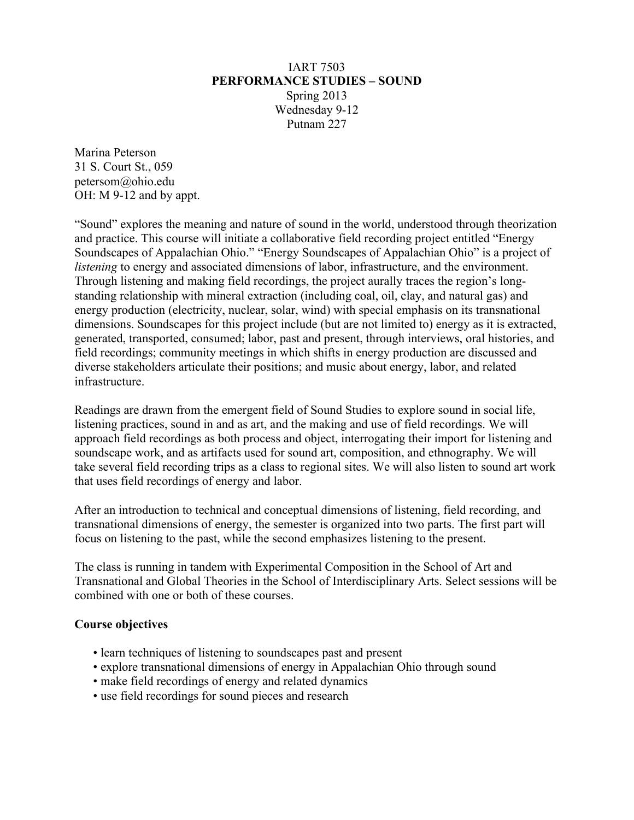#### IART 7503 **PERFORMANCE STUDIES – SOUND** Spring 2013 Wednesday 9-12 Putnam 227

Marina Peterson 31 S. Court St., 059 petersom@ohio.edu OH: M 9-12 and by appt.

"Sound" explores the meaning and nature of sound in the world, understood through theorization and practice. This course will initiate a collaborative field recording project entitled "Energy Soundscapes of Appalachian Ohio." "Energy Soundscapes of Appalachian Ohio" is a project of *listening* to energy and associated dimensions of labor, infrastructure, and the environment. Through listening and making field recordings, the project aurally traces the region's longstanding relationship with mineral extraction (including coal, oil, clay, and natural gas) and energy production (electricity, nuclear, solar, wind) with special emphasis on its transnational dimensions. Soundscapes for this project include (but are not limited to) energy as it is extracted, generated, transported, consumed; labor, past and present, through interviews, oral histories, and field recordings; community meetings in which shifts in energy production are discussed and diverse stakeholders articulate their positions; and music about energy, labor, and related infrastructure.

Readings are drawn from the emergent field of Sound Studies to explore sound in social life, listening practices, sound in and as art, and the making and use of field recordings. We will approach field recordings as both process and object, interrogating their import for listening and soundscape work, and as artifacts used for sound art, composition, and ethnography. We will take several field recording trips as a class to regional sites. We will also listen to sound art work that uses field recordings of energy and labor.

After an introduction to technical and conceptual dimensions of listening, field recording, and transnational dimensions of energy, the semester is organized into two parts. The first part will focus on listening to the past, while the second emphasizes listening to the present.

The class is running in tandem with Experimental Composition in the School of Art and Transnational and Global Theories in the School of Interdisciplinary Arts. Select sessions will be combined with one or both of these courses.

#### **Course objectives**

- learn techniques of listening to soundscapes past and present
- explore transnational dimensions of energy in Appalachian Ohio through sound
- make field recordings of energy and related dynamics
- use field recordings for sound pieces and research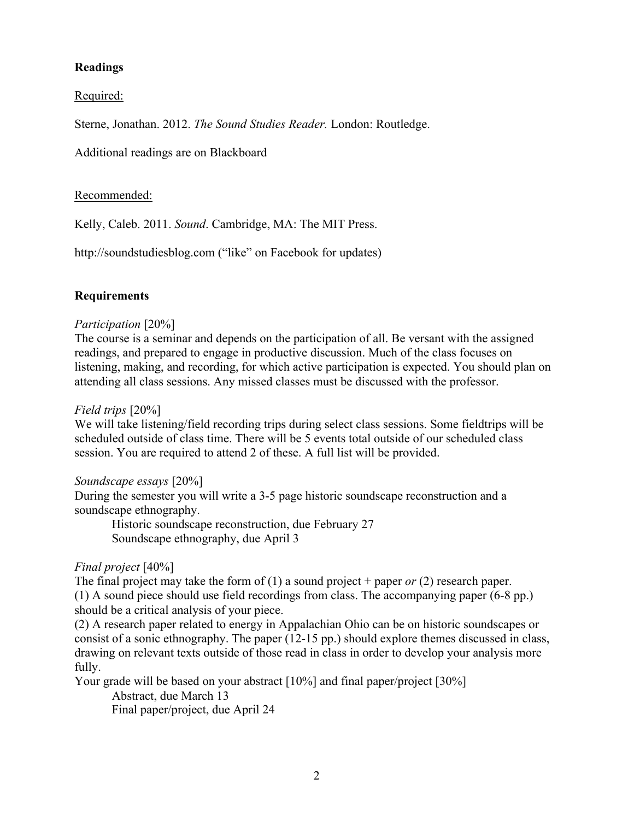## **Readings**

Required:

Sterne, Jonathan. 2012. *The Sound Studies Reader.* London: Routledge.

Additional readings are on Blackboard

#### Recommended:

Kelly, Caleb. 2011. *Sound*. Cambridge, MA: The MIT Press.

http://soundstudiesblog.com ("like" on Facebook for updates)

## **Requirements**

#### *Participation* [20%]

The course is a seminar and depends on the participation of all. Be versant with the assigned readings, and prepared to engage in productive discussion. Much of the class focuses on listening, making, and recording, for which active participation is expected. You should plan on attending all class sessions. Any missed classes must be discussed with the professor.

#### *Field trips* [20%]

We will take listening/field recording trips during select class sessions. Some fieldtrips will be scheduled outside of class time. There will be 5 events total outside of our scheduled class session. You are required to attend 2 of these. A full list will be provided.

#### *Soundscape essays* [20%]

During the semester you will write a 3-5 page historic soundscape reconstruction and a soundscape ethnography.

Historic soundscape reconstruction, due February 27 Soundscape ethnography, due April 3

## *Final project* [40%]

The final project may take the form of (1) a sound project + paper *or* (2) research paper. (1) A sound piece should use field recordings from class. The accompanying paper (6-8 pp.) should be a critical analysis of your piece.

(2) A research paper related to energy in Appalachian Ohio can be on historic soundscapes or consist of a sonic ethnography. The paper (12-15 pp.) should explore themes discussed in class, drawing on relevant texts outside of those read in class in order to develop your analysis more fully.

Your grade will be based on your abstract [10%] and final paper/project [30%] Abstract, due March 13 Final paper/project, due April 24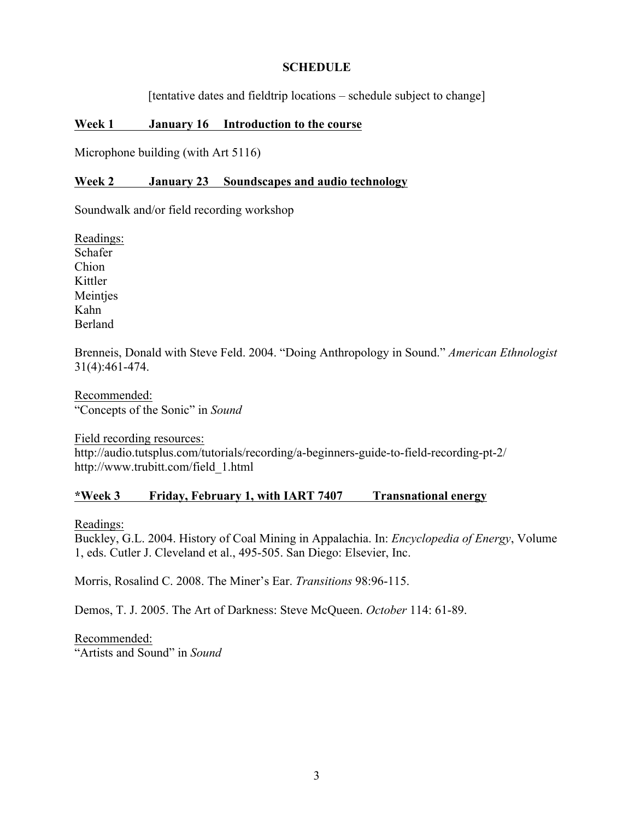#### **SCHEDULE**

[tentative dates and fieldtrip locations – schedule subject to change]

#### **Week 1 January 16 Introduction to the course**

Microphone building (with Art 5116)

#### **Week 2 January 23 Soundscapes and audio technology**

Soundwalk and/or field recording workshop

Readings: Schafer Chion Kittler Meintjes Kahn Berland

Brenneis, Donald with Steve Feld. 2004. "Doing Anthropology in Sound." *American Ethnologist* 31(4):461-474.

Recommended: "Concepts of the Sonic" in *Sound*

Field recording resources: http://audio.tutsplus.com/tutorials/recording/a-beginners-guide-to-field-recording-pt-2/ http://www.trubitt.com/field\_1.html

## **\*Week 3 Friday, February 1, with IART 7407 Transnational energy**

Readings:

Buckley, G.L. 2004. History of Coal Mining in Appalachia. In: *Encyclopedia of Energy*, Volume 1, eds. Cutler J. Cleveland et al., 495-505. San Diego: Elsevier, Inc.

Morris, Rosalind C. 2008. The Miner's Ear. *Transitions* 98:96-115.

Demos, T. J. 2005. The Art of Darkness: Steve McQueen. *October* 114: 61-89.

Recommended: "Artists and Sound" in *Sound*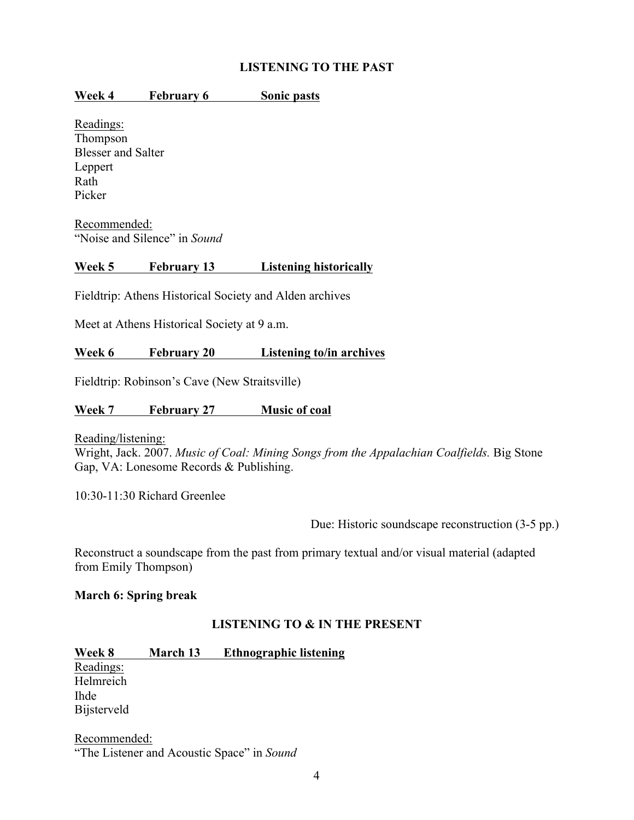## **LISTENING TO THE PAST**

#### **Week 4 February 6 Sonic pasts**

Readings: Thompson Blesser and Salter Leppert Rath Picker

Recommended: "Noise and Silence" in *Sound*

#### **Week 5 February 13 Listening historically**

Fieldtrip: Athens Historical Society and Alden archives

Meet at Athens Historical Society at 9 a.m.

#### **Week 6 February 20 Listening to/in archives**

Fieldtrip: Robinson's Cave (New Straitsville)

#### **Week 7 February 27 Music of coal**

Reading/listening:

Wright, Jack. 2007. *Music of Coal: Mining Songs from the Appalachian Coalfields.* Big Stone Gap, VA: Lonesome Records & Publishing.

10:30-11:30 Richard Greenlee

Due: Historic soundscape reconstruction (3-5 pp.)

Reconstruct a soundscape from the past from primary textual and/or visual material (adapted from Emily Thompson)

#### **March 6: Spring break**

## **LISTENING TO & IN THE PRESENT**

## **Week 8 March 13 Ethnographic listening**

Readings: Helmreich Ihde Bijsterveld

Recommended: "The Listener and Acoustic Space" in *Sound*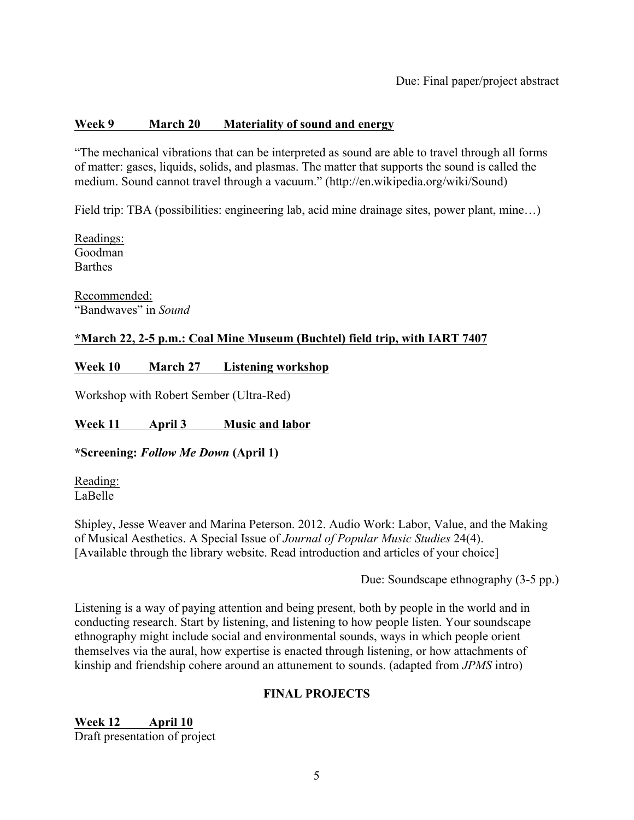## **Week 9 March 20 Materiality of sound and energy**

"The mechanical vibrations that can be interpreted as sound are able to travel through all forms of matter: gases, liquids, solids, and plasmas. The matter that supports the sound is called the medium. Sound cannot travel through a vacuum." (http://en.wikipedia.org/wiki/Sound)

Field trip: TBA (possibilities: engineering lab, acid mine drainage sites, power plant, mine...)

Readings: Goodman **Barthes** 

Recommended: "Bandwaves" in *Sound*

## **\*March 22, 2-5 p.m.: Coal Mine Museum (Buchtel) field trip, with IART 7407**

## **Week 10 March 27 Listening workshop**

Workshop with Robert Sember (Ultra-Red)

## **Week 11 April 3 Music and labor**

## **\*Screening:** *Follow Me Down* **(April 1)**

Reading: LaBelle

Shipley, Jesse Weaver and Marina Peterson. 2012. Audio Work: Labor, Value, and the Making of Musical Aesthetics. A Special Issue of *Journal of Popular Music Studies* 24(4). [Available through the library website. Read introduction and articles of your choice]

Due: Soundscape ethnography (3-5 pp.)

Listening is a way of paying attention and being present, both by people in the world and in conducting research. Start by listening, and listening to how people listen. Your soundscape ethnography might include social and environmental sounds, ways in which people orient themselves via the aural, how expertise is enacted through listening, or how attachments of kinship and friendship cohere around an attunement to sounds. (adapted from *JPMS* intro)

## **FINAL PROJECTS**

**Week 12 April 10** Draft presentation of project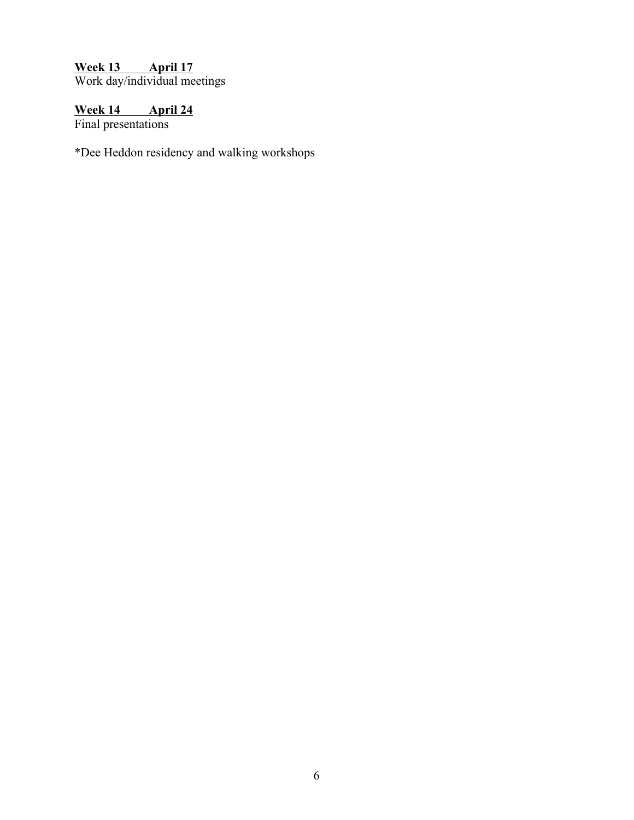# **Week 13 April 17**

Work day/individual meetings

## **Week 14 April 24**

Final presentations

\*Dee Heddon residency and walking workshops